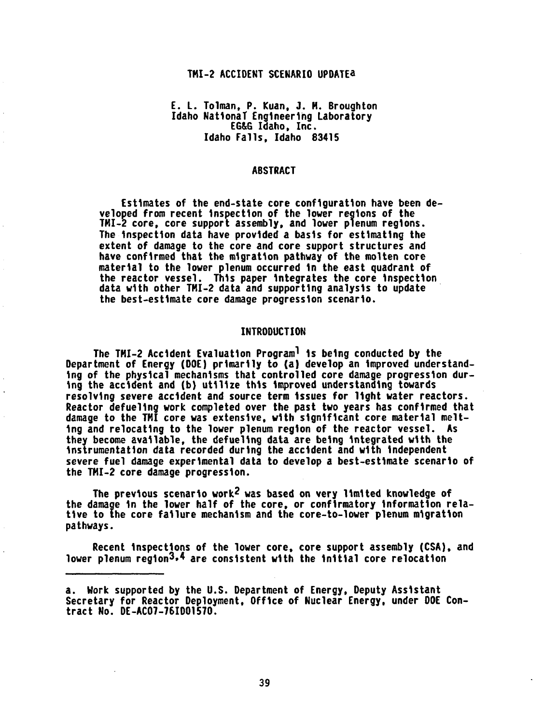#### TMI-2 ACCIDENT SCENARIO UPDATEa

# E. L. Tolman, P. Kuan, J. M. Broughton Idaho NationaT Engineering Laboratory EG&G Idaho, Inc. Idaho Falls, Idaho 83415

# **ABSTRACT**

Estimates of the end-state core configuration have been developed from recent inspection of the lower regions of the 1MM-2 core, core support assembly, and lower plenum regions. The inspection data have provided a basis for estimating the extent of damage to the core and core support structures and have confirmed that the migration pathway of the molten core material to the lower plenum occurred in the east quadrant of the reactor vessel. This paper integrates the core inspection data with other TMI-2 data and supporting analysis to update the best-estimate core damage progression scenario.

#### INTRODUCTION

The TMI-2 Accident Evaluation Programl is being conducted by the Department of Energy (DOE) primarily to (a) develop an improved understanding of the physical mechanisms that controlled core damage progression during the accident and (b) utilize this improved understanding towards resolving severe accident and source term issues for light water reactors. Reactor defueling work completed over the past two years has confirmed that damage to the THI core was extensive, with significant core material melting and relocating to the lower plenum region of the reactor vessel. As they become available, the defueling data are being integrated with the instrumentation data recorded during the accident and with independent severe fuel damage experimental data to develop a best-estimate scenario of the TMI-2 core damage progression.

The previous scenario work2 was based on very limited knowledge of the damage in the lower half of the core, or confirmatory information relative to the core failure mechanism and the core-to-lower plenum migration pathways.

Recent inspections of the lower core, core support assembly (CSA), and lower plenum region<sup>3,4</sup> are consistent with the initial core relocation

a. Work supported by the U.S. Department of Energy, Deputy Assistant Secretary for Reactor Deployment, Office of Nuclear Energy, under DOE Contract No. DE-AC07-76I001570.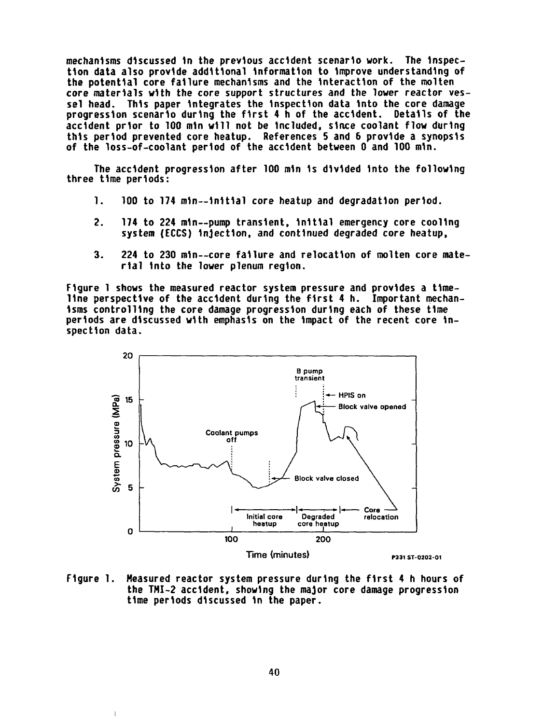mechanisms discussed in the previous accident scenario work. The inspection data also provide additional information to improve understanding of the potential core failure mechanisms and the interaction of the molten core materials with the core support structures and the lower reactor vessel head. This paper integrates the inspection data into the core damage progression scenario during the first 4 h of the accident. Details of the accident prior to 100 min will not be included, since coolant flow during this period prevented core heatup. References 5 and 6 provide a synopsis of the loss-of-coolant period of the accident between 0 and 100 min.

The accident progression after 100 min is divided into the following three time periods:

- 1. 100 to 174 min--initial core heatup and degradation period.
- 2. 174 to 224 min--pump transient, initial emergency core cooling system (ECCS) injection, and continued degraded core heatup,
- 3. 224 to 230 min--core failure and relocation of molten core material into the lower plenum region.

Figure 1 shows the measured reactor system pressure and provides a timeline perspective of the accident during the first 4 h. Important mechanisms controlling the core damage progression during each of these time periods are discussed with emphasis on the impact of the recent core inspection data.



Figure 1. Measured reactor system pressure during the first 4 h hours of the TMI-2 accident, showing the major core damage progression time periods discussed in the paper.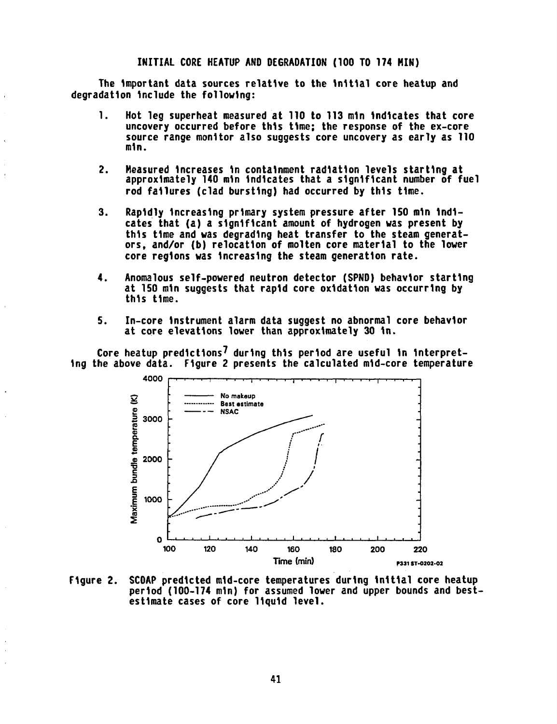# INITIAL CORE HEATUP AND DEGRADATION (100 TO 174 MIN)

The important data sources relative to the Initial core heatup and degradation include the following:

- 1. Hot leg superheat measured at 110 to 113 min indicates that core uncovery occurred before this time; the response of the ex-core source range monitor also suggests core uncovery as early as 110 min.
- 2. Measured increases in containment radiation levels starting at approximately 140 min indicates that a significant number of fuel rod failures (clad bursting) had occurred by this time.
- 3. Rapidly increasing primary system pressure after 150 min indicates that (a) a significant amount of hydrogen was present by this time and was degrading heat transfer to the steam generators, and/or (b) relocation of molten core material to the lower core regions was increasing the steam generation rate.
- 4. Anomalous self-powered neutron detector (SPND) behavior starting at 150 min suggests that rapid core oxidation was occurring by this time.
- 5. In-core instrument alarm data suggest no abnormal core behavior at core elevations lower than approximately 30 in.

Core heatup predictions $\prime$  during this period are useful in interpreting the above data. Figure 2 presents the calculated mid-core temperature



Figure 2. SCOAP predicted mid-core temperatures during initial core heatup period (100-174 min) for assumed lower and upper bounds and bestestimate cases of core liquid level.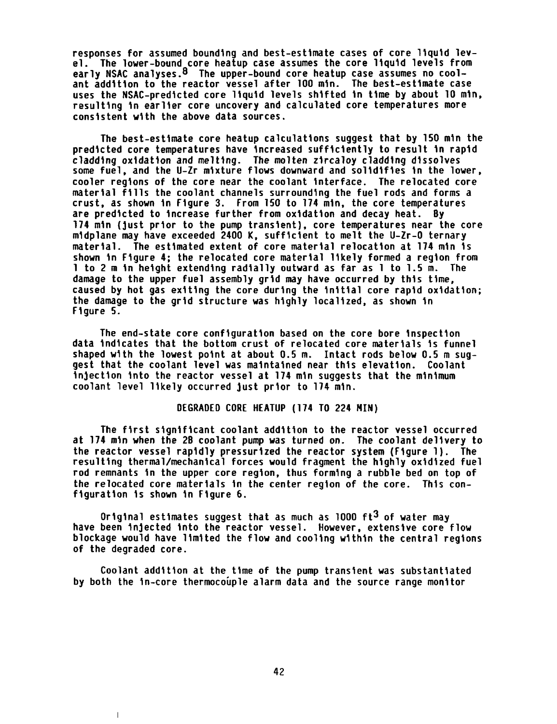responses for assumed bounding and best-estimate cases of core liquid level. The lower-bound core heatup case assumes the core liquid levels from early NSAC analyses.<sup>8</sup> The upper-bound core heatup case assumes no coolant addition to the reactor vessel after 100 min. The best-estimate case uses the NSAC-predicted core liquid levels shifted in time by about 10 min, resulting in earlier core uncovery and calculated core temperatures more consistent with the above data sources.

The best-estimate core heatup calculations suggest that by 150 min the predicted core temperatures have increased sufficiently to result in rapid cladding oxidation and melting. The molten zircaloy cladding dissolves some fuel, and the U-Zr mixture flows downward and solidifies in the lower, cooler regions of the core near the coolant interface. The relocated core material fills the coolant channels surrounding the fuel rods and forms a crust, as shown in Figure 3. From 150 to 174 min, the core temperatures are predicted to increase further from oxidation and decay heat. By 174 min (just prior to the pump transient), core temperatures near the core midplane may have exceeded 2400 K, sufficient to melt the U-Zr-O ternary material. The estimated extent of core material relocation at 174 min is shown in Figure 4; the relocated core material likely formed a region from 1 to 2 m in height extending radially outward as far as 1 to 1.5 m. The damage to the upper fuel assembly grid may have occurred by this time, caused by hot gas exiting the core during the initial core rapid oxidation; the damage to the grid structure was highly localized, as shown in Figure 5.

The end-state core configuration based on the core bore inspection data indicates that the bottom crust of relocated core materials is funnel shaped with the lowest point at about 0.5 m. Intact rods below 0.5 m suggest that the coolant level was maintained near this elevation. Coolant injection into the reactor vessel at 174 min suggests that the minimum coolant level likely occurred just prior to 174 min.

# DEGRADED CORE HEATUP (174 TO 224 MIN)

The first significant coolant addition to the reactor vessel occurred at 174 min when the 2B coolant pump was turned on. The coolant delivery to the reactor vessel rapidly pressurized the reactor system (Figure 1). The resulting thermal/mechanical forces would fragment the highly oxidized fuel rod remnants in the upper core region, thus forming a rubble bed on top of the relocated core materials in the center region of the core. This configuration is shown in Figure 6.

Original estimates suggest that as much as 1000  $ft^3$  of water may have been injected into the reactor vessel. However, extensive core flow blockage would have limited the flow and cooling within the central regions of the degraded core.

Coolant addition at the time of the pump transient was substantiated by both the in-core thermocouple alarm data and the source range monitor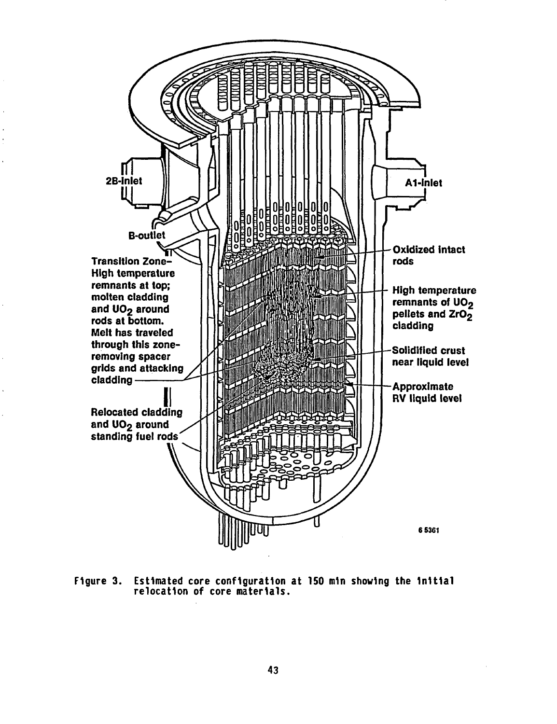

Figure 3. Estimated core configuration at 150 min showing the initial relocation of core materials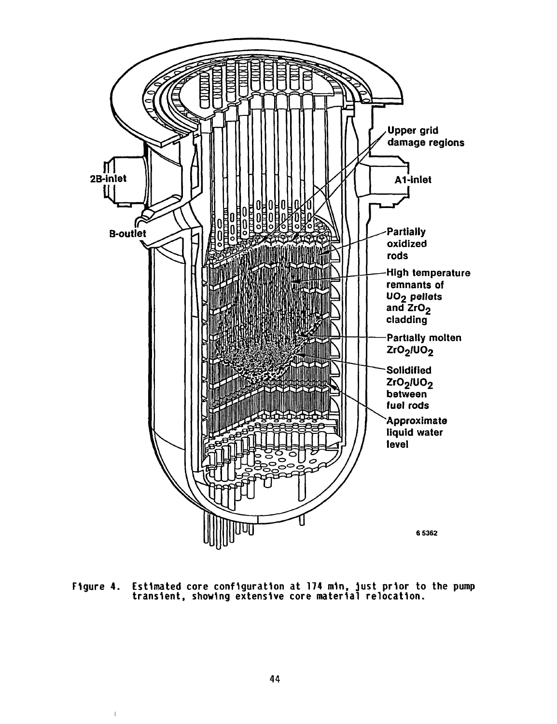

Figure 4. Estimated core configuration at **174** min, just prior to the pump transient, showing extensive core material relocation.

 $\bar{1}$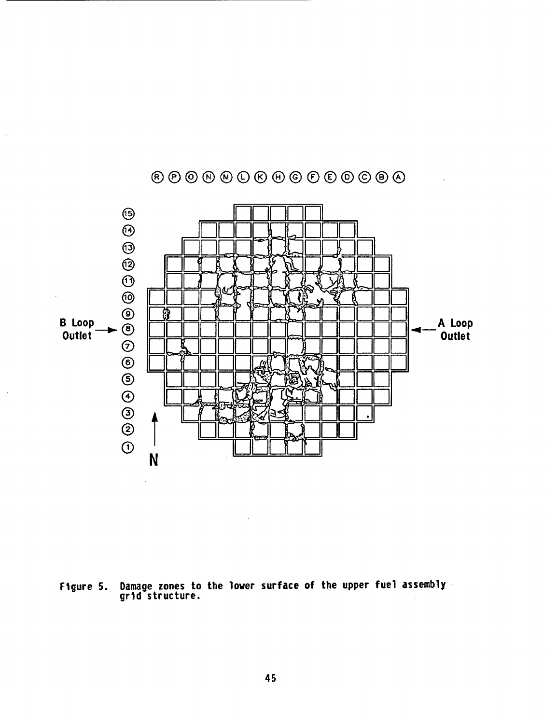![](_page_6_Figure_0.jpeg)

 $\bar{z}$ 

 $\mathbf{r}$ 

Damage zones to the lower surface of the upper fuel assembly grid structure. Figure 5.

45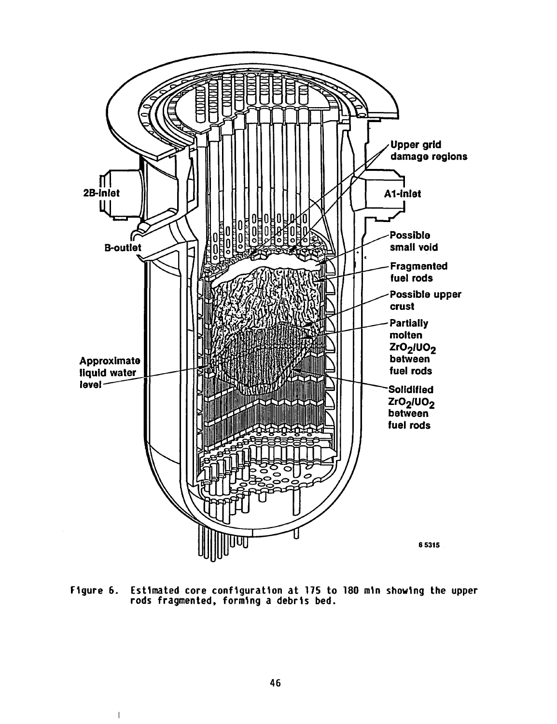![](_page_7_Figure_0.jpeg)

Figure 6. Estimated core configuration at 175 to 180 min showing the upper rods fragmented, forming a debris bed.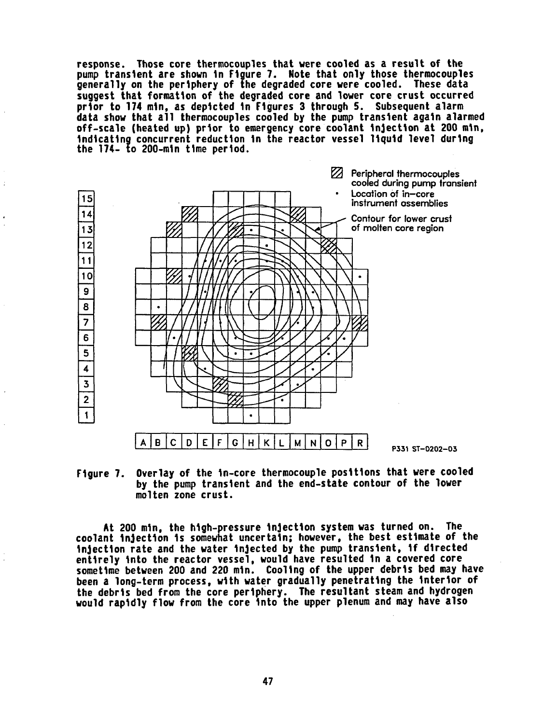response. Those core thermocouples that were cooled as a result of the pump transient are shown in Figure 7. Note that only those thermocouples generally on the periphery of the degraded core were cooled. These data suggest that formation of the degraded core and lower core crust occurred prior to 174 min, as depicted in Figures 3 through 5. Subsequent alarm data show that all thermocouples cooled by the pump transient again alarmed off-scale (heated up) prior to emergency core coolant injection at 200 min, indicating concurrent reduction in the reactor vessel liquid level during the 174- to 200-min time period.

![](_page_8_Figure_1.jpeg)

Figure 7. by the pump transient and the end-state contour of the lower molten 2 zone crust. of the in-core thermocouple positions that were cooled

At 200 min, the high-pressure injection system was turned on. The coolant injection is somewhat uncertain; however, the best estimate of the injection rate and the water injected by the pump transient, if directed entirely into the reactor vessel, would have resulted in a covered core sometime between 200 and 220 min. Cooling of the upper debris bed may have been a long-term process, with water gradually penetrating the interior of the debris bed from the core periphery. The resultant steam and hydrogen would rapidly flow from the core into the upper plenum and may have also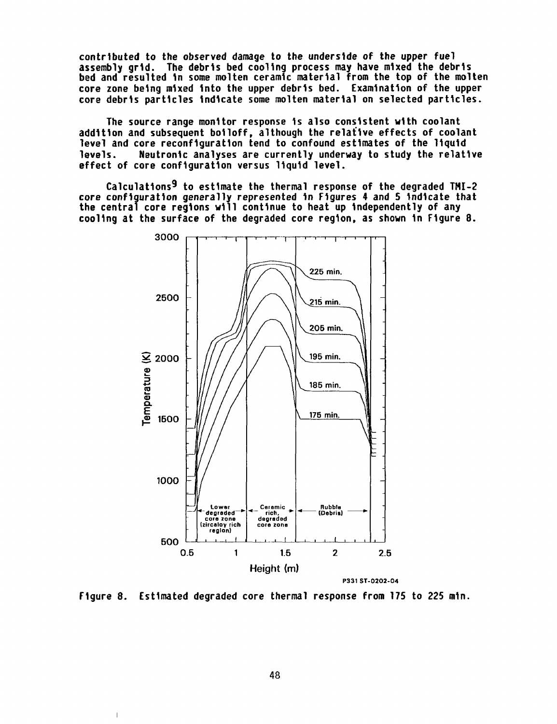contributed to the observed damage to the underside of the upper fuel assembly grid. The debris bed cooling process may have mixed the debris bed and resulted in some molten ceramic material from the top of the molten core zone being mixed into the upper debris bed. Examination of the upper core debris particles indicate some molten material on selected particles.

The source range monitor response is also consistent with coolant addition and subsequent boiloff, although the relative effects of coolant level and core reconfiguration tend to confound estimates of the liquid levels. Neutronic analyses are currently underway to study the relative effect of core configuration versus liquid level.

Calculations9 to estimate the thermal response of the degraded TMI-2 core configuration generally represented in Figures 4 and 5 indicate that the central core regions will continue to heat up independently of any cooling at the surface of the degraded core region, as shown in Figure 8.

![](_page_9_Figure_3.jpeg)

Figure 8. Estimated degraded core thermal response from 175 to 225 min.

 $\overline{1}$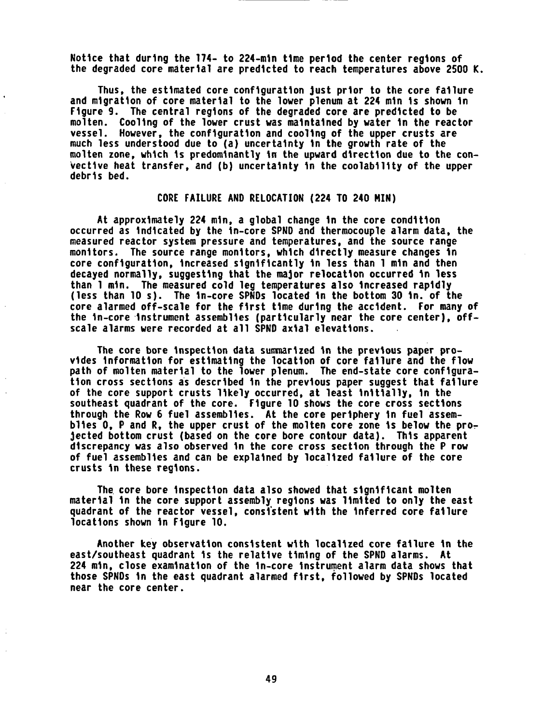Notice that during the 174- to 224-min time period the center regions of the degraded core material are predicted to reach temperatures above 2500 K.

Thus, the estimated core configuration just prior to the core failure and migration of core material to the lower plenum at 224 min is shown in Figure 9. The central regions of the degraded core are predicted to be molten. Cooling of the lower crust was maintained by water in the reactor vessel. However, the configuration and cooling of the upper crusts are much less understood due to (a) uncertainty in the growth rate of the molten zone, which is predominantly in the upward direction due to the convective heat transfer, and (b) uncertainty in the coolability of the upper debris bed.

# CORE FAILURE AND RELOCATION (224 TO 240 MIN)

At approximately 224 min, a global change in the core condition occurred as indicated by the in-core SPND and thermocouple alarm data, the measured reactor system pressure and temperatures, and the source range monitors. The source range monitors, which directly measure changes in core configuration, increased significantly in less than 1 min and then decayed normally, suggesting that the major relocation occurred in less than 1 min. The measured cold leg temperatures also increased rapidly (less than 10 s). The in-core SPNDs located in the bottom 30 in. of the core alarmed off-scale for the first time during the accident. For many of the in-core instrument assemblies (particularly near the core center), offscale alarms were recorded at all SPND axial elevations.

The core bore inspection data summarized in the previous paper provides information for estimating the location of core failure and the flow path of molten material to the lower plenum. The end-state core configuration cross sections as described in the previous paper suggest that failure of the core support crusts likely occurred, at least initially, in the southeast quadrant of the core. Figure 10 shows the core cross sections through the Row 6 fuel assemblies. At the core periphery in fuel assemblies 0, P and R, the upper crust of the molten core zone is below the projected bottom crust (based on the core bore contour data). This apparent discrepancy was also observed in the core cross section through the P row of fuel assemblies and can be explained by localized failure of the core crusts in these regions.

The core bore inspection data also showed that significant molten material in the core support assembly regions was limited to only the east quadrant of the reactor vessel, consistent with the inferred core failure locations shown in Figure 10.

Another key observation consistent with localized core failure in the east/southeast quadrant is the relative timing of the SPND alarms. At 224 min, close examination of the in-core instrument alarm data shows that those SPNDs in the east quadrant alarmed first, followed by SPNDs located near the core center.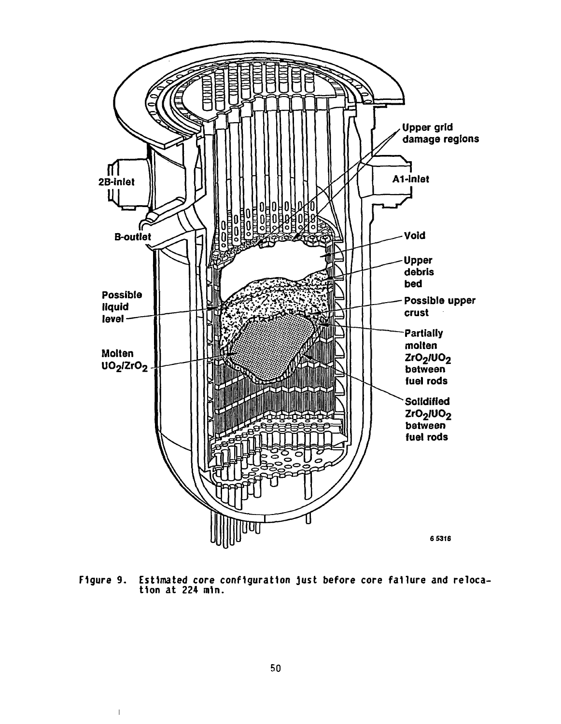![](_page_11_Figure_0.jpeg)

Figure 9. Estimated core configuration just before core failure and relocation at 224 min.

 $\mathbb T$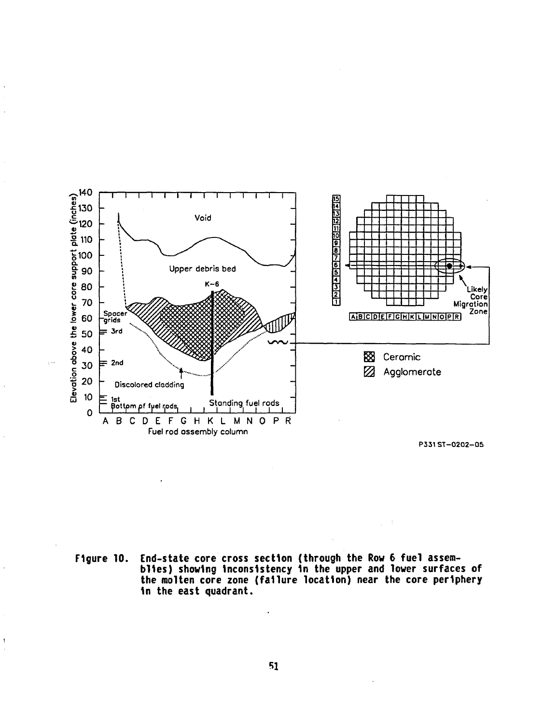![](_page_12_Figure_0.jpeg)

P331ST-0202-05

End-state core cross section (through the Row 6 fuel assem-<br>blies) showing inconsistency in the upper and lower surfaces of<br>the molten core zone (failure location) near the core periphery Figure 10. in the east quadrant.

 $\cdot$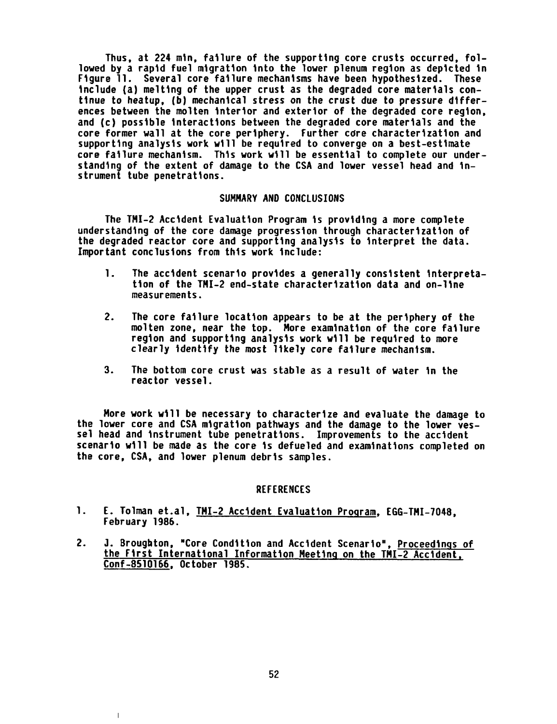Thus, at 224 min, failure of the supporting core crusts occurred, followed by a rapid fuel migration into the lower plenum region as depicted in Figure 11. Several core failure mechanisms have been hypothesized. These include (a) melting of the upper crust as the degraded core materials continue to heatup, (b) mechanical stress on the crust due to pressure differences between the molten interior and exterior of the degraded core region, and (c) possible interactions between the degraded core materials and the core former wall at the core periphery. Further cdre characterization and supporting analysis work will be required to converge on a best-estimate core failure mechanism. This work will be essential to complete our understanding of the extent of damage to the CSA and lower vessel head and instrument tube penetrations.

# SUMMARY AND CONCLUSIONS

The TMI-2 Accident Evaluation Program is providing a more complete understanding of the core damage progression through characterization of the degraded reactor core and supporting analysis to interpret the data. Important conclusions from this work include:

- 1. The accident scenario provides a generally consistent interpretation of the TMI-2 end-state characterization data and on-line measurements.
- 2. The core failure location appears to be at the periphery of the molten zone, near the top. More examination of the core failure region and supporting analysis work will be required to more clearly identify the most likely core failure mechanism.
- 3. The bottom core crust was stable as a result of water in the reactor vessel.

More work will be necessary to characterize and evaluate the damage to the lower core and CSA migration pathways and the damage to the lower vessel head and instrument tube penetrations. Improvements to the accident scenario will be made as the core is defueled and examinations completed on the core, CSA, and lower plenum debris samples.

# REFERENCES

- 1. E. Tolman et.al, TMI-2 Accident Evaluation Program, EGG-TMI-7048, February 1986.
- 2. J. Broughton, "Core Condition and Accident Scenario", Proceedings of the First International Information Meeting on the TMI-2 Accident. Conf-8510166, October 1985.

 $\overline{1}$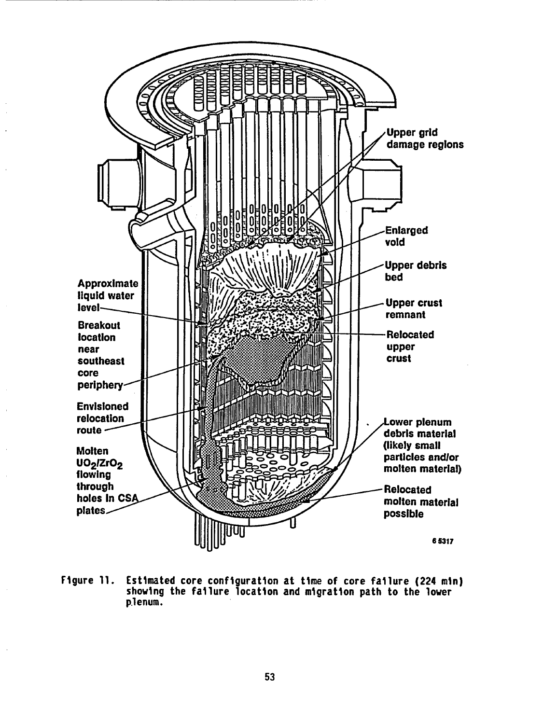![](_page_14_Figure_0.jpeg)

Figure 11. Estimated core configuration at time of core failure (224 min) showing the failure location and migration path to the lower plenum.